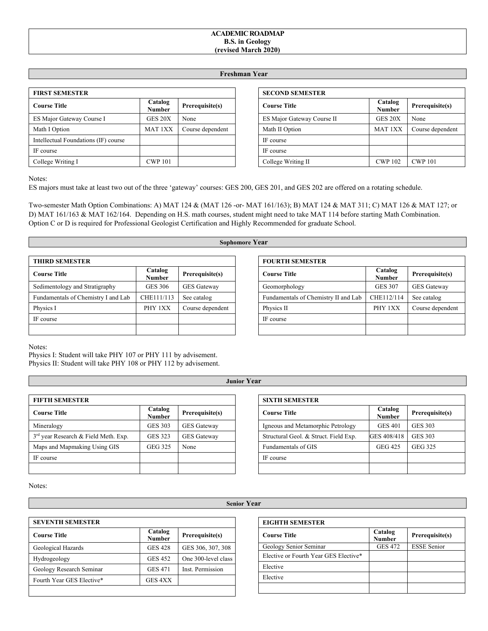### **ACADEMIC ROADMAP B.S. in Geology (revised March 2020)**

## **Freshman Year**

| <b>FIRST SEMESTER</b>                |                          |                  |  |
|--------------------------------------|--------------------------|------------------|--|
| <b>Course Title</b>                  | Catalog<br><b>Number</b> | Prerequisite(s)  |  |
| ES Major Gateway Course I            | GES 20X                  | None             |  |
| Math I Option                        | <b>MAT 1XX</b>           | Course dependent |  |
| Intellectual Foundations (IF) course |                          |                  |  |
| IF course                            |                          |                  |  |
| College Writing I                    | <b>CWP 101</b>           |                  |  |

| <b>SECOND SEMESTER</b>     |                          |                  |
|----------------------------|--------------------------|------------------|
| <b>Course Title</b>        | Catalog<br><b>Number</b> | Prerequisite(s)  |
| ES Major Gateway Course II | GES 20X                  | None             |
| Math II Option             | MAT <sub>1</sub> XX      | Course dependent |
| IF course                  |                          |                  |
| IF course                  |                          |                  |
| College Writing II         | <b>CWP 102</b>           | <b>CWP 101</b>   |

Notes:

ES majors must take at least two out of the three 'gateway' courses: GES 200, GES 201, and GES 202 are offered on a rotating schedule.

Two-semester Math Option Combinations: A) MAT 124 & (MAT 126 -or- MAT 161/163); B) MAT 124 & MAT 311; C) MAT 126 & MAT 127; or D) MAT 161/163 & MAT 162/164. Depending on H.S. math courses, student might need to take MAT 114 before starting Math Combination. Option C or D is required for Professional Geologist Certification and Highly Recommended for graduate School.

# **Sophomore Year**

| <b>THIRD SEMESTER</b>               |                   |                    |  |
|-------------------------------------|-------------------|--------------------|--|
| <b>Course Title</b>                 | Catalog<br>Number | Prerequisite(s)    |  |
| Sedimentology and Stratigraphy      | <b>GES 306</b>    | <b>GES</b> Gateway |  |
| Fundamentals of Chemistry I and Lab | CHE111/113        | See catalog        |  |
| Physics I                           | PHY 1XX           | Course dependent   |  |
| IF course                           |                   |                    |  |
|                                     |                   |                    |  |

| <b>FOURTH SEMESTER</b>               |                          |                    |  |
|--------------------------------------|--------------------------|--------------------|--|
| <b>Course Title</b>                  | Catalog<br><b>Number</b> | Prerequisite(s)    |  |
| Geomorphology                        | <b>GES 307</b>           | <b>GES</b> Gateway |  |
| Fundamentals of Chemistry II and Lab | CHE112/114               | See catalog        |  |
| Physics II                           | PHY 1XX                  | Course dependent   |  |
| IF course                            |                          |                    |  |
|                                      |                          |                    |  |

Notes:

Physics I: Student will take PHY 107 or PHY 111 by advisement. Physics II: Student will take PHY 108 or PHY 112 by advisement.

| <b>FIFTH SEMESTER</b>                  |                          |                    |
|----------------------------------------|--------------------------|--------------------|
| <b>Course Title</b>                    | Catalog<br><b>Number</b> | Prerequisite(s)    |
| Mineralogy                             | <b>GES 303</b>           | <b>GES</b> Gateway |
| $3rd$ year Research & Field Meth. Exp. | <b>GES 323</b>           | <b>GES</b> Gateway |
| Maps and Mapmaking Using GIS           | GEG 325                  | None               |
| IF course                              |                          |                    |
|                                        |                          |                    |

# **Junior Year**

| <b>SIXTH SEMESTER</b>                 |                          |                 |
|---------------------------------------|--------------------------|-----------------|
| <b>Course Title</b>                   | Catalog<br><b>Number</b> | Prerequisite(s) |
| Igneous and Metamorphic Petrology     | <b>GES 401</b>           | <b>GES 303</b>  |
| Structural Geol. & Struct. Field Exp. | GES 408/418              | <b>GES 303</b>  |
| Fundamentals of GIS                   | <b>GEG 425</b>           | <b>GEG 325</b>  |
| IF course                             |                          |                 |
|                                       |                          |                 |

Notes:

### **Senior Year**

| <b>SEVENTH SEMESTER</b>   |                          |                     |  |
|---------------------------|--------------------------|---------------------|--|
| <b>Course Title</b>       | Catalog<br><b>Number</b> | Prerequisite(s)     |  |
| Geological Hazards        | <b>GES 428</b>           | GES 306, 307, 308   |  |
| Hydrogeology              | <b>GES 452</b>           | One 300-level class |  |
| Geology Research Seminar  | <b>GES 471</b>           | Inst. Permission    |  |
| Fourth Year GES Elective* | GES 4XX                  |                     |  |
|                           |                          |                     |  |

| <b>EIGHTH SEMESTER</b> |
|------------------------|
|                        |

| <b>Course Title</b>                   | Catalog<br><b>Number</b> | Prerequisite(s)    |
|---------------------------------------|--------------------------|--------------------|
| Geology Senior Seminar                | <b>GES 472</b>           | <b>ESSE</b> Senior |
| Elective or Fourth Year GES Elective* |                          |                    |
| Elective                              |                          |                    |
| Elective                              |                          |                    |
|                                       |                          |                    |